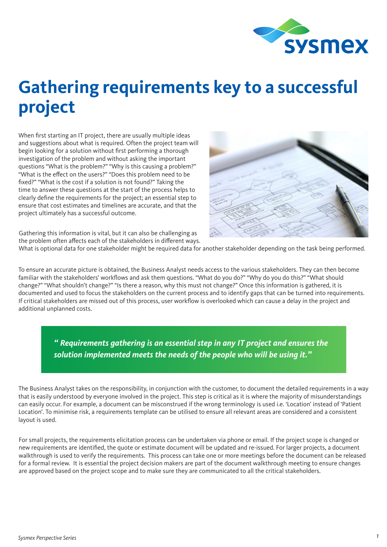

## **Gathering requirements key to a successful project**

When first starting an IT project, there are usually multiple ideas and suggestions about what is required. Often the project team will begin looking for a solution without first performing a thorough investigation of the problem and without asking the important questions "What is the problem?" "Why is this causing a problem?" "What is the effect on the users?" "Does this problem need to be fixed?" "What is the cost if a solution is not found?" Taking the time to answer these questions at the start of the process helps to clearly define the requirements for the project; an essential step to ensure that cost estimates and timelines are accurate, and that the project ultimately has a successful outcome.



Gathering this information is vital, but it can also be challenging as the problem often affects each of the stakeholders in different ways.

What is optional data for one stakeholder might be required data for another stakeholder depending on the task being performed.

To ensure an accurate picture is obtained, the Business Analyst needs access to the various stakeholders. They can then become familiar with the stakeholders' workflows and ask them questions. "What do you do?" "Why do you do this?" "What should change?" "What shouldn't change?" "Is there a reason, why this must not change?" Once this information is gathered, it is documented and used to focus the stakeholders on the current process and to identify gaps that can be turned into requirements. If critical stakeholders are missed out of this process, user workflow is overlooked which can cause a delay in the project and additional unplanned costs.

> *" Requirements gathering is an essential step in any IT project and ensures the solution implemented meets the needs of the people who will be using it."*

The Business Analyst takes on the responsibility, in conjunction with the customer, to document the detailed requirements in a way that is easily understood by everyone involved in the project. This step is critical as it is where the majority of misunderstandings can easily occur. For example, a document can be misconstrued if the wrong terminology is used i.e. 'Location' instead of 'Patient Location'. To minimise risk, a requirements template can be utilised to ensure all relevant areas are considered and a consistent layout is used.

For small projects, the requirements elicitation process can be undertaken via phone or email. If the project scope is changed or new requirements are identified, the quote or estimate document will be updated and re-issued. For larger projects, a document walkthrough is used to verify the requirements. This process can take one or more meetings before the document can be released for a formal review. It is essential the project decision makers are part of the document walkthrough meeting to ensure changes are approved based on the project scope and to make sure they are communicated to all the critical stakeholders.